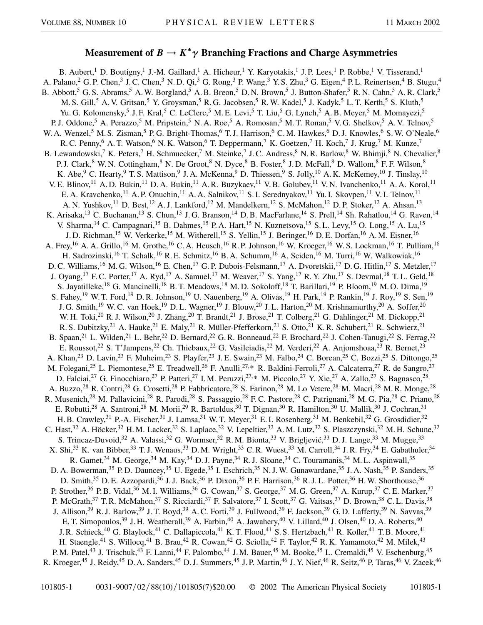## **Measurement of**  $B \to K^*\gamma$  **Branching Fractions and Charge Asymmetries**

B. Aubert,<sup>1</sup> D. Boutigny,<sup>1</sup> J.-M. Gaillard,<sup>1</sup> A. Hicheur,<sup>1</sup> Y. Karyotakis,<sup>1</sup> J.P. Lees,<sup>1</sup> P. Robbe,<sup>1</sup> V. Tisserand,<sup>1</sup> A. Palano,<sup>2</sup> G. P. Chen,<sup>3</sup> J. C. Chen,<sup>3</sup> N. D. Qi,<sup>3</sup> G. Rong,<sup>3</sup> P. Wang,<sup>3</sup> Y. S. Zhu,<sup>3</sup> G. Eigen,<sup>4</sup> P. L. Reinertsen,<sup>4</sup> B. Stugu,<sup>4</sup> B. Abbott,<sup>5</sup> G. S. Abrams,<sup>5</sup> A. W. Borgland,<sup>5</sup> A. B. Breon,<sup>5</sup> D. N. Brown,<sup>5</sup> J. Button-Shafer,<sup>5</sup> R. N. Cahn,<sup>5</sup> A. R. Clark,<sup>5</sup> M. S. Gill,<sup>5</sup> A. V. Gritsan,<sup>5</sup> Y. Groysman,<sup>5</sup> R. G. Jacobsen,<sup>5</sup> R. W. Kadel,<sup>5</sup> J. Kadyk,<sup>5</sup> L. T. Kerth,<sup>5</sup> S. Kluth,<sup>5</sup> Yu. G. Kolomensky,<sup>5</sup> J. F. Kral,<sup>5</sup> C. LeClerc,<sup>5</sup> M. E. Levi,<sup>5</sup> T. Liu,<sup>5</sup> G. Lynch,<sup>5</sup> A. B. Meyer,<sup>5</sup> M. Momayezi,<sup>5</sup> P. J. Oddone,<sup>5</sup> A. Perazzo,<sup>5</sup> M. Pripstein,<sup>5</sup> N. A. Roe,<sup>5</sup> A. Romosan,<sup>5</sup> M. T. Ronan,<sup>5</sup> V. G. Shelkov,<sup>5</sup> A. V. Telnov,<sup>5</sup> W. A. Wenzel,<sup>5</sup> M. S. Zisman,<sup>5</sup> P. G. Bright-Thomas,<sup>6</sup> T. J. Harrison,<sup>6</sup> C. M. Hawkes,<sup>6</sup> D. J. Knowles,<sup>6</sup> S. W. O'Neale,<sup>6</sup> R. C. Penny, <sup>6</sup> A. T. Watson, <sup>6</sup> N. K. Watson, <sup>6</sup> T. Deppermann, <sup>7</sup> K. Goetzen, <sup>7</sup> H. Koch, <sup>7</sup> J. Krug, <sup>7</sup> M. Kunze, <sup>7</sup> B. Lewandowski,<sup>7</sup> K. Peters,<sup>7</sup> H. Schmuecker,<sup>7</sup> M. Steinke,<sup>7</sup> J.C. Andress,<sup>8</sup> N. R. Barlow,<sup>8</sup> W. Bhimji,<sup>8</sup> N. Chevalier,<sup>8</sup> P. J. Clark,<sup>8</sup> W. N. Cottingham,<sup>8</sup> N. De Groot,<sup>8</sup> N. Dyce,<sup>8</sup> B. Foster,<sup>8</sup> J. D. McFall,<sup>8</sup> D. Wallom,<sup>8</sup> F. F. Wilson,<sup>8</sup> K. Abe, <sup>9</sup> C. Hearty, <sup>9</sup> T. S. Mattison, <sup>9</sup> J. A. McKenna, <sup>9</sup> D. Thiessen, <sup>9</sup> S. Jolly, <sup>10</sup> A. K. McKemey, <sup>10</sup> J. Tinslay, <sup>10</sup> V. E. Blinov,<sup>11</sup> A. D. Bukin,<sup>11</sup> D. A. Bukin,<sup>11</sup> A. R. Buzykaev,<sup>11</sup> V. B. Golubev,<sup>11</sup> V. N. Ivanchenko,<sup>11</sup> A. A. Korol,<sup>11</sup> E. A. Kravchenko,<sup>11</sup> A. P. Onuchin,<sup>11</sup> A. A. Salnikov,<sup>11</sup> S. I. Serednyakov,<sup>11</sup> Yu. I. Skovpen,<sup>11</sup> V. I. Telnov,<sup>11</sup> A. N. Yushkov,<sup>11</sup> D. Best,<sup>12</sup> A. J. Lankford,<sup>12</sup> M. Mandelkern,<sup>12</sup> S. McMahon,<sup>12</sup> D. P. Stoker,<sup>12</sup> A. Ahsan,<sup>13</sup> K. Arisaka,<sup>13</sup> C. Buchanan,<sup>13</sup> S. Chun,<sup>13</sup> J. G. Branson,<sup>14</sup> D. B. MacFarlane,<sup>14</sup> S. Prell,<sup>14</sup> Sh. Rahatlou,<sup>14</sup> G. Raven,<sup>14</sup> V. Sharma,<sup>14</sup> C. Campagnari,<sup>15</sup> B. Dahmes,<sup>15</sup> P. A. Hart,<sup>15</sup> N. Kuznetsova,<sup>15</sup> S. L. Levy,<sup>15</sup> O. Long,<sup>15</sup> A. Lu,<sup>15</sup> J. D. Richman,<sup>15</sup> W. Verkerke,<sup>15</sup> M. Witherell,<sup>15</sup> S. Yellin,<sup>15</sup> J. Beringer,<sup>16</sup> D. E. Dorfan,<sup>16</sup> A. M. Eisner,<sup>16</sup> A. Frey,<sup>16</sup> A. A. Grillo,<sup>16</sup> M. Grothe,<sup>16</sup> C. A. Heusch,<sup>16</sup> R. P. Johnson,<sup>16</sup> W. Kroeger,<sup>16</sup> W. S. Lockman,<sup>16</sup> T. Pulliam,<sup>16</sup> H. Sadrozinski,<sup>16</sup> T. Schalk,<sup>16</sup> R. E. Schmitz,<sup>16</sup> B. A. Schumm,<sup>16</sup> A. Seiden,<sup>16</sup> M. Turri,<sup>16</sup> W. Walkowiak,<sup>16</sup> D. C. Williams,<sup>16</sup> M. G. Wilson,<sup>16</sup> E. Chen,<sup>17</sup> G. P. Dubois-Felsmann,<sup>17</sup> A. Dvoretskii,<sup>17</sup> D. G. Hitlin,<sup>17</sup> S. Metzler,<sup>17</sup> J. Oyang,<sup>17</sup> F. C. Porter,<sup>17</sup> A. Ryd,<sup>17</sup> A. Samuel,<sup>17</sup> M. Weaver,<sup>17</sup> S. Yang,<sup>17</sup> R. Y. Zhu,<sup>17</sup> S. Devmal,<sup>18</sup> T. L. Geld,<sup>18</sup> S. Jayatilleke,<sup>18</sup> G. Mancinelli,<sup>18</sup> B. T. Meadows,<sup>18</sup> M. D. Sokoloff,<sup>18</sup> T. Barillari,<sup>19</sup> P. Bloom,<sup>19</sup> M. O. Dima,<sup>19</sup> S. Fahey,<sup>19</sup> W. T. Ford,<sup>19</sup> D. R. Johnson,<sup>19</sup> U. Nauenberg,<sup>19</sup> A. Olivas,<sup>19</sup> H. Park,<sup>19</sup> P. Rankin,<sup>19</sup> J. Roy,<sup>19</sup> S. Sen,<sup>19</sup> J. G. Smith,<sup>19</sup> W. C. van Hoek,<sup>19</sup> D. L. Wagner,<sup>19</sup> J. Blouw,<sup>20</sup> J. L. Harton,<sup>20</sup> M. Krishnamurthy,<sup>20</sup> A. Soffer,<sup>20</sup> W. H. Toki,<sup>20</sup> R. J. Wilson,<sup>20</sup> J. Zhang,<sup>20</sup> T. Brandt,<sup>21</sup> J. Brose,<sup>21</sup> T. Colberg,<sup>21</sup> G. Dahlinger,<sup>21</sup> M. Dickopp,<sup>21</sup> R. S. Dubitzky,<sup>21</sup> A. Hauke,<sup>21</sup> E. Maly,<sup>21</sup> R. Müller-Pfefferkorn,<sup>21</sup> S. Otto,<sup>21</sup> K. R. Schubert,<sup>21</sup> R. Schwierz,<sup>21</sup> B. Spaan,<sup>21</sup> L. Wilden,<sup>21</sup> L. Behr,<sup>22</sup> D. Bernard,<sup>22</sup> G. R. Bonneaud,<sup>22</sup> F. Brochard,<sup>22</sup> J. Cohen-Tanugi,<sup>22</sup> S. Ferrag,<sup>22</sup> E. Roussot,<sup>22</sup> S. T'Jampens,<sup>22</sup> Ch. Thiebaux,<sup>22</sup> G. Vasileiadis,<sup>22</sup> M. Verderi,<sup>22</sup> A. Anjomshoaa,<sup>23</sup> R. Bernet,<sup>23</sup> A. Khan,<sup>23</sup> D. Lavin,<sup>23</sup> F. Muheim,<sup>23</sup> S. Playfer,<sup>23</sup> J. E. Swain,<sup>23</sup> M. Falbo,<sup>24</sup> C. Borean,<sup>25</sup> C. Bozzi,<sup>25</sup> S. Dittongo,<sup>25</sup> M. Folegani,<sup>25</sup> L. Piemontese,<sup>25</sup> E. Treadwell,<sup>26</sup> F. Anulli,<sup>27,\*</sup> R. Baldini-Ferroli,<sup>27</sup> A. Calcaterra,<sup>27</sup> R. de Sangro,<sup>27</sup> D. Falciai,<sup>27</sup> G. Finocchiaro,<sup>27</sup> P. Patteri,<sup>27</sup> I. M. Peruzzi,<sup>27,\*</sup> M. Piccolo,<sup>27</sup> Y. Xie,<sup>27</sup> A. Zallo,<sup>27</sup> S. Bagnasco,<sup>28</sup> A. Buzzo,<sup>28</sup> R. Contri,<sup>28</sup> G. Crosetti,<sup>28</sup> P. Fabbricatore,<sup>28</sup> S. Farinon,<sup>28</sup> M. Lo Vetere,<sup>28</sup> M. Macri,<sup>28</sup> M. R. Monge,<sup>28</sup> R. Musenich,<sup>28</sup> M. Pallavicini,<sup>28</sup> R. Parodi,<sup>28</sup> S. Passaggio,<sup>28</sup> F.C. Pastore,<sup>28</sup> C. Patrignani,<sup>28</sup> M. G. Pia,<sup>28</sup> C. Priano,<sup>28</sup> E. Robutti,<sup>28</sup> A. Santroni,<sup>28</sup> M. Morii,<sup>29</sup> R. Bartoldus,<sup>30</sup> T. Dignan,<sup>30</sup> R. Hamilton,<sup>30</sup> U. Mallik,<sup>30</sup> J. Cochran,<sup>31</sup> H. B. Crawley,<sup>31</sup> P.-A. Fischer,<sup>31</sup> J. Lamsa,<sup>31</sup> W. T. Meyer,<sup>31</sup> E. I. Rosenberg,<sup>31</sup> M. Benkebil,<sup>32</sup> G. Grosdidier,<sup>32</sup> C. Hast,<sup>32</sup> A. Höcker,<sup>32</sup> H.M. Lacker,<sup>32</sup> S. Laplace,<sup>32</sup> V. Lepeltier,<sup>32</sup> A.M. Lutz,<sup>32</sup> S. Plaszczynski,<sup>32</sup> M.H. Schune,<sup>32</sup> S. Trincaz-Duvoid,<sup>32</sup> A. Valassi,<sup>32</sup> G. Wormser,<sup>32</sup> R. M. Bionta,<sup>33</sup> V. Brigljević,<sup>33</sup> D. J. Lange,<sup>33</sup> M. Mugge,<sup>33</sup> X. Shi,<sup>33</sup> K. van Bibber,<sup>33</sup> T. J. Wenaus,<sup>33</sup> D. M. Wright,<sup>33</sup> C. R. Wuest,<sup>33</sup> M. Carroll,<sup>34</sup> J. R. Fry,<sup>34</sup> E. Gabathuler,<sup>34</sup> R. Gamet, <sup>34</sup> M. George, <sup>34</sup> M. Kay, <sup>34</sup> D. J. Payne, <sup>34</sup> R. J. Sloane, <sup>34</sup> C. Touramanis, <sup>34</sup> M. L. Aspinwall, <sup>35</sup> D. A. Bowerman,<sup>35</sup> P. D. Dauncey,<sup>35</sup> U. Egede,<sup>35</sup> I. Eschrich,<sup>35</sup> N. J. W. Gunawardane,<sup>35</sup> J. A. Nash,<sup>35</sup> P. Sanders,<sup>35</sup> D. Smith,<sup>35</sup> D. E. Azzopardi,<sup>36</sup> J. J. Back,<sup>36</sup> P. Dixon,<sup>36</sup> P. F. Harrison,<sup>36</sup> R. J. L. Potter,<sup>36</sup> H. W. Shorthouse,<sup>36</sup> P. Strother,<sup>36</sup> P. B. Vidal,<sup>36</sup> M. I. Williams,<sup>36</sup> G. Cowan,<sup>37</sup> S. George,<sup>37</sup> M. G. Green,<sup>37</sup> A. Kurup,<sup>37</sup> C. E. Marker,<sup>37</sup> P. McGrath,<sup>37</sup> T. R. McMahon,<sup>37</sup> S. Ricciardi,<sup>37</sup> F. Salvatore,<sup>37</sup> I. Scott,<sup>37</sup> G. Vaitsas,<sup>37</sup> D. Brown,<sup>38</sup> C. L. Davis,<sup>38</sup> J. Allison,<sup>39</sup> R. J. Barlow,<sup>39</sup> J. T. Boyd,<sup>39</sup> A. C. Forti,<sup>39</sup> J. Fullwood,<sup>39</sup> F. Jackson,<sup>39</sup> G. D. Lafferty,<sup>39</sup> N. Savvas,<sup>39</sup> E. T. Simopoulos,<sup>39</sup> J. H. Weatherall,<sup>39</sup> A. Farbin,<sup>40</sup> A. Jawahery,<sup>40</sup> V. Lillard,<sup>40</sup> J. Olsen,<sup>40</sup> D. A. Roberts,<sup>40</sup> J. R. Schieck,<sup>40</sup> G. Blaylock,<sup>41</sup> C. Dallapiccola,<sup>41</sup> K. T. Flood,<sup>41</sup> S. S. Hertzbach,<sup>41</sup> R. Kofler,<sup>41</sup> T. B. Moore,<sup>41</sup> H. Staengle,<sup>41</sup> S. Willocq,<sup>41</sup> B. Brau,<sup>42</sup> R. Cowan,<sup>42</sup> G. Sciolla,<sup>42</sup> F. Taylor,<sup>42</sup> R. K. Yamamoto,<sup>42</sup> M. Milek,<sup>43</sup> P. M. Patel,<sup>43</sup> J. Trischuk,<sup>43</sup> F. Lanni,<sup>44</sup> F. Palombo,<sup>44</sup> J. M. Bauer,<sup>45</sup> M. Booke,<sup>45</sup> L. Cremaldi,<sup>45</sup> V. Eschenburg,<sup>45</sup> R. Kroeger,<sup>45</sup> J. Reidy,<sup>45</sup> D. A. Sanders,<sup>45</sup> D. J. Summers,<sup>45</sup> J. P. Martin,<sup>46</sup> J. Y. Nief,<sup>46</sup> R. Seitz,<sup>46</sup> P. Taras,<sup>46</sup> V. Zacek,<sup>46</sup>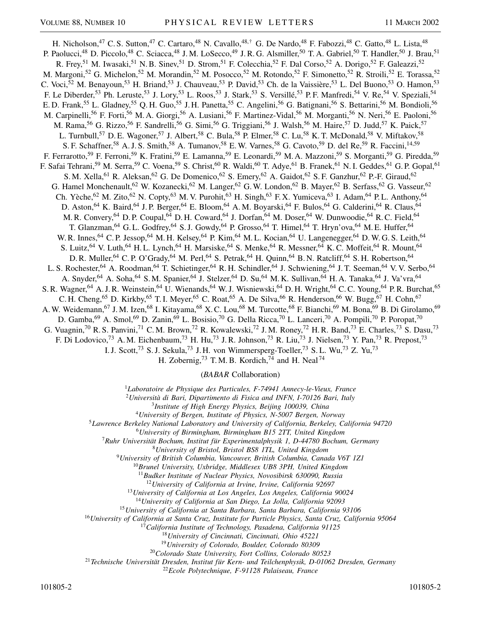H. Nicholson,<sup>47</sup> C. S. Sutton,<sup>47</sup> C. Cartaro,<sup>48</sup> N. Cavallo,<sup>48,†</sup> G. De Nardo,<sup>48</sup> F. Fabozzi,<sup>48</sup> C. Gatto,<sup>48</sup> L. Lista,<sup>48</sup> P. Paolucci,<sup>48</sup> D. Piccolo,<sup>48</sup> C. Sciacca,<sup>48</sup> J. M. LoSecco,<sup>49</sup> J. R. G. Alsmiller,<sup>50</sup> T. A. Gabriel,<sup>50</sup> T. Handler,<sup>50</sup> J. Brau,<sup>51</sup> R. Frey,<sup>51</sup> M. Iwasaki,<sup>51</sup> N. B. Sinev,<sup>51</sup> D. Strom,<sup>51</sup> F. Colecchia,<sup>52</sup> F. Dal Corso,<sup>52</sup> A. Dorigo,<sup>52</sup> F. Galeazzi,<sup>52</sup> M. Margoni,<sup>52</sup> G. Michelon,<sup>52</sup> M. Morandin,<sup>52</sup> M. Posocco,<sup>52</sup> M. Rotondo,<sup>52</sup> F. Simonetto,<sup>52</sup> R. Stroili,<sup>52</sup> E. Torassa,<sup>52</sup> C. Voci,<sup>52</sup> M. Benayoun,<sup>53</sup> H. Briand,<sup>53</sup> J. Chauveau,<sup>53</sup> P. David,<sup>53</sup> Ch. de la Vaissière,<sup>53</sup> L. Del Buono,<sup>53</sup> O. Hamon,<sup>53</sup> F. Le Diberder,<sup>53</sup> Ph. Leruste,<sup>53</sup> J. Lory,<sup>53</sup> L. Roos,<sup>53</sup> J. Stark,<sup>53</sup> S. Versillé,<sup>53</sup> P. F. Manfredi,<sup>54</sup> V. Re,<sup>54</sup> V. Speziali,<sup>54</sup> E. D. Frank,<sup>55</sup> L. Gladney,<sup>55</sup> Q. H. Guo,<sup>55</sup> J. H. Panetta,<sup>55</sup> C. Angelini,<sup>56</sup> G. Batignani,<sup>56</sup> S. Bettarini,<sup>56</sup> M. Bondioli,<sup>56</sup> M. Carpinelli,<sup>56</sup> F. Forti,<sup>56</sup> M. A. Giorgi,<sup>56</sup> A. Lusiani,<sup>56</sup> F. Martinez-Vidal,<sup>56</sup> M. Morganti,<sup>56</sup> N. Neri,<sup>56</sup> E. Paoloni,<sup>56</sup> M. Rama,<sup>56</sup> G. Rizzo,<sup>56</sup> F. Sandrelli,<sup>56</sup> G. Simi,<sup>56</sup> G. Triggiani,<sup>56</sup> J. Walsh,<sup>56</sup> M. Haire,<sup>57</sup> D. Judd,<sup>57</sup> K. Paick,<sup>57</sup> L. Turnbull,<sup>57</sup> D. E. Wagoner,<sup>57</sup> J. Albert,<sup>58</sup> C. Bula,<sup>58</sup> P. Elmer,<sup>58</sup> C. Lu,<sup>58</sup> K. T. McDonald,<sup>58</sup> V. Miftakov,<sup>58</sup> S. F. Schaffner,<sup>58</sup> A. J. S. Smith,<sup>58</sup> A. Tumanov,<sup>58</sup> E. W. Varnes,<sup>58</sup> G. Cavoto,<sup>59</sup> D. del Re,<sup>59</sup> R. Faccini,<sup>14,59</sup> F. Ferrarotto,<sup>59</sup> F. Ferroni,<sup>59</sup> K. Fratini,<sup>59</sup> E. Lamanna,<sup>59</sup> E. Leonardi,<sup>59</sup> M. A. Mazzoni,<sup>59</sup> S. Morganti,<sup>59</sup> G. Piredda,<sup>59</sup> F. Safai Tehrani,<sup>59</sup> M. Serra,<sup>59</sup> C. Voena,<sup>59</sup> S. Christ,<sup>60</sup> R. Waldi,<sup>60</sup> T. Adye,<sup>61</sup> B. Franek,<sup>61</sup> N. I. Geddes,<sup>61</sup> G. P. Gopal,<sup>61</sup> S. M. Xella,<sup>61</sup> R. Aleksan,<sup>62</sup> G. De Domenico,<sup>62</sup> S. Emery,<sup>62</sup> A. Gaidot,<sup>62</sup> S. F. Ganzhur,<sup>62</sup> P.-F. Giraud,<sup>62</sup> G. Hamel Monchenault, <sup>62</sup> W. Kozanecki, <sup>62</sup> M. Langer, <sup>62</sup> G. W. London, <sup>62</sup> B. Mayer, <sup>62</sup> B. Serfass, <sup>62</sup> G. Vasseur, <sup>62</sup> Ch. Yèche,<sup>62</sup> M. Zito,<sup>62</sup> N. Copty,<sup>63</sup> M. V. Purohit,<sup>63</sup> H. Singh,<sup>63</sup> F. X. Yumiceva,<sup>63</sup> I. Adam,<sup>64</sup> P. L. Anthony,<sup>64</sup> D. Aston,<sup>64</sup> K. Baird,<sup>64</sup> J. P. Berger,<sup>64</sup> E. Bloom,<sup>64</sup> A. M. Boyarski,<sup>64</sup> F. Bulos,<sup>64</sup> G. Calderini,<sup>64</sup> R. Claus,<sup>64</sup> M. R. Convery, <sup>64</sup> D. P. Coupal, <sup>64</sup> D. H. Coward, <sup>64</sup> J. Dorfan, <sup>64</sup> M. Doser, <sup>64</sup> W. Dunwoodie, <sup>64</sup> R. C. Field, <sup>64</sup> T. Glanzman,<sup>64</sup> G. L. Godfrey,<sup>64</sup> S. J. Gowdy,<sup>64</sup> P. Grosso,<sup>64</sup> T. Himel,<sup>64</sup> T. Hryn'ova,<sup>64</sup> M. E. Huffer,<sup>64</sup> W. R. Innes, <sup>64</sup> C. P. Jessop, <sup>64</sup> M. H. Kelsey, <sup>64</sup> P. Kim, <sup>64</sup> M. L. Kocian, <sup>64</sup> U. Langenegger, <sup>64</sup> D. W. G. S. Leith, <sup>64</sup> S. Luitz, <sup>64</sup> V. Luth, <sup>64</sup> H. L. Lynch, <sup>64</sup> H. Marsiske, <sup>64</sup> S. Menke, <sup>64</sup> R. Messner, <sup>64</sup> K. C. Moffeit, <sup>64</sup> R. Mount, <sup>64</sup> D. R. Muller, <sup>64</sup> C. P. O'Grady, <sup>64</sup> M. Perl, <sup>64</sup> S. Petrak, <sup>64</sup> H. Quinn, <sup>64</sup> B. N. Ratcliff, <sup>64</sup> S. H. Robertson, <sup>64</sup> L. S. Rochester,<sup>64</sup> A. Roodman,<sup>64</sup> T. Schietinger,<sup>64</sup> R. H. Schindler,<sup>64</sup> J. Schwiening,<sup>64</sup> J. T. Seeman,<sup>64</sup> V. V. Serbo,<sup>64</sup> A. Snyder,<sup>64</sup> A. Soha,<sup>64</sup> S. M. Spanier,<sup>64</sup> J. Stelzer,<sup>64</sup> D. Su,<sup>64</sup> M. K. Sullivan,<sup>64</sup> H. A. Tanaka,<sup>64</sup> J. Va'vra,<sup>64</sup> S. R. Wagner,<sup>64</sup> A. J. R. Weinstein,<sup>64</sup> U. Wienands,<sup>64</sup> W. J. Wisniewski,<sup>64</sup> D. H. Wright,<sup>64</sup> C. C. Young,<sup>64</sup> P. R. Burchat,<sup>65</sup> C. H. Cheng,<sup>65</sup> D. Kirkby,<sup>65</sup> T. I. Meyer,<sup>65</sup> C. Roat,<sup>65</sup> A. De Silva,<sup>66</sup> R. Henderson,<sup>66</sup> W. Bugg,<sup>67</sup> H. Cohn,<sup>67</sup> A. W. Weidemann,<sup>67</sup> J. M. Izen,<sup>68</sup> I. Kitayama,<sup>68</sup> X. C. Lou,<sup>68</sup> M. Turcotte,<sup>68</sup> F. Bianchi,<sup>69</sup> M. Bona,<sup>69</sup> B. Di Girolamo,<sup>69</sup> D. Gamba,<sup>69</sup> A. Smol,<sup>69</sup> D. Zanin,<sup>69</sup> L. Bosisio,<sup>70</sup> G. Della Ricca,<sup>70</sup> L. Lanceri,<sup>70</sup> A. Pompili,<sup>70</sup> P. Poropat,<sup>70</sup> G. Vuagnin,<sup>70</sup> R. S. Panvini,<sup>71</sup> C. M. Brown,<sup>72</sup> R. Kowalewski,<sup>72</sup> J. M. Roney,<sup>72</sup> H. R. Band,<sup>73</sup> E. Charles,<sup>73</sup> S. Dasu,<sup>73</sup> F. Di Lodovico,<sup>73</sup> A.M. Eichenbaum,<sup>73</sup> H. Hu,<sup>73</sup> J.R. Johnson,<sup>73</sup> R. Liu,<sup>73</sup> J. Nielsen,<sup>73</sup> Y. Pan,<sup>73</sup> R. Prepost,<sup>73</sup> I. J. Scott,<sup>73</sup> S. J. Sekula,<sup>73</sup> J. H. von Wimmersperg-Toeller,<sup>73</sup> S. L. Wu,<sup>73</sup> Z. Yu,<sup>73</sup>

H. Zobernig,<sup>73</sup> T. M. B. Kordich,<sup>74</sup> and H. Neal<sup>74</sup>

(*BABAR* Collaboration)

<sup>1</sup>*Laboratoire de Physique des Particules, F-74941 Annecy-le-Vieux, France*

<sup>2</sup>*Università di Bari, Dipartimento di Fisica and INFN, I-70126 Bari, Italy*

<sup>3</sup>*Institute of High Energy Physics, Beijing 100039, China*

<sup>4</sup>*University of Bergen, Institute of Physics, N-5007 Bergen, Norway*

<sup>5</sup>*Lawrence Berkeley National Laboratory and University of California, Berkeley, California 94720*

<sup>6</sup>*University of Birmingham, Birmingham B15 2TT, United Kingdom*

<sup>7</sup>*Ruhr Universität Bochum, Institut für Experimentalphysik 1, D-44780 Bochum, Germany*

<sup>8</sup>*University of Bristol, Bristol BS8 1TL, United Kingdom*

<sup>9</sup>*University of British Columbia, Vancouver, British Columbia, Canada V6T 1Z1*

<sup>10</sup>*Brunel University, Uxbridge, Middlesex UB8 3PH, United Kingdom*

<sup>11</sup>*Budker Institute of Nuclear Physics, Novosibirsk 630090, Russia*

<sup>12</sup>*University of California at Irvine, Irvine, California 92697*

<sup>13</sup>*University of California at Los Angeles, Los Angeles, California 90024*

<sup>14</sup>*University of California at San Diego, La Jolla, California 92093*

<sup>15</sup>*University of California at Santa Barbara, Santa Barbara, California 93106*

<sup>16</sup>*University of California at Santa Cruz, Institute for Particle Physics, Santa Cruz, California 95064*

<sup>17</sup>*California Institute of Technology, Pasadena, California 91125*

<sup>18</sup>*University of Cincinnati, Cincinnati, Ohio 45221*

<sup>19</sup>*University of Colorado, Boulder, Colorado 80309*

<sup>20</sup>*Colorado State University, Fort Collins, Colorado 80523*

<sup>21</sup>*Technische Universität Dresden, Institut für Kern- und Teilchenphysik, D-01062 Dresden, Germany*

<sup>22</sup>*Ecole Polytechnique, F-91128 Palaiseau, France*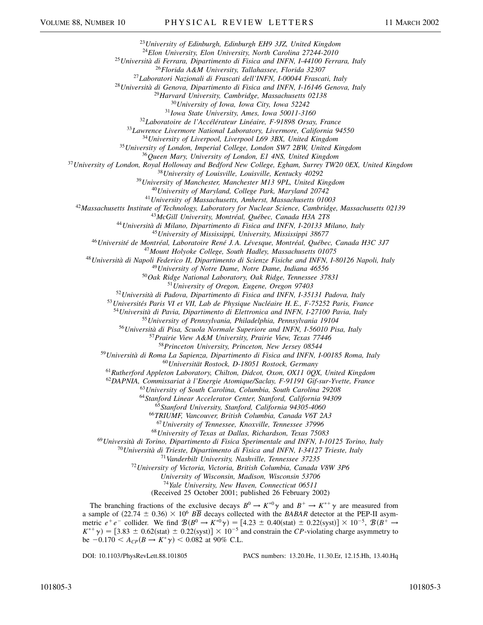*University of Edinburgh, Edinburgh EH9 3JZ, United Kingdom*

*Elon University, Elon University, North Carolina 27244-2010*

*Università di Ferrara, Dipartimento di Fisica and INFN, I-44100 Ferrara, Italy*

*Florida A&M University, Tallahassee, Florida 32307*

*Laboratori Nazionali di Frascati dell'INFN, I-00044 Frascati, Italy*

*Università di Genova, Dipartimento di Fisica and INFN, I-16146 Genova, Italy*

*Harvard University, Cambridge, Massachusetts 02138*

*University of Iowa, Iowa City, Iowa 52242*

*Iowa State University, Ames, Iowa 50011-3160*

*Laboratoire de l'Accélérateur Linéaire, F-91898 Orsay, France*

*Lawrence Livermore National Laboratory, Livermore, California 94550*

*University of Liverpool, Liverpool L69 3BX, United Kingdom*

*University of London, Imperial College, London SW7 2BW, United Kingdom*

*Queen Mary, University of London, E1 4NS, United Kingdom*

*University of London, Royal Holloway and Bedford New College, Egham, Surrey TW20 0EX, United Kingdom*

*University of Louisville, Louisville, Kentucky 40292*

*University of Manchester, Manchester M13 9PL, United Kingdom*

*University of Maryland, College Park, Maryland 20742*

*University of Massachusetts, Amherst, Massachusetts 01003*

*Massachusetts Institute of Technology, Laboratory for Nuclear Science, Cambridge, Massachusetts 02139*

*McGill University, Montréal, Québec, Canada H3A 2T8*

*Università di Milano, Dipartimento di Fisica and INFN, I-20133 Milano, Italy*

*University of Mississippi, University, Mississippi 38677*

*Université de Montréal, Laboratoire René J. A. Lévesque, Montréal, Québec, Canada H3C 3J7*

*Mount Holyoke College, South Hadley, Massachusetts 01075*

*Università di Napoli Federico II, Dipartimento di Scienze Fisiche and INFN, I-80126 Napoli, Italy*

*University of Notre Dame, Notre Dame, Indiana 46556*

*Oak Ridge National Laboratory, Oak Ridge, Tennessee 37831*

*University of Oregon, Eugene, Oregon 97403*

*Università di Padova, Dipartimento di Fisica and INFN, I-35131 Padova, Italy*

*Universités Paris VI et VII, Lab de Physique Nucléaire H. E., F-75252 Paris, France*

*Università di Pavia, Dipartimento di Elettronica and INFN, I-27100 Pavia, Italy*

*University of Pennsylvania, Philadelphia, Pennsylvania 19104*

*Università di Pisa, Scuola Normale Superiore and INFN, I-56010 Pisa, Italy*

*Prairie View A&M University, Prairie View, Texas 77446*

*Princeton University, Princeton, New Jersey 08544*

*Università di Roma La Sapienza, Dipartimento di Fisica and INFN, I-00185 Roma, Italy*

*Universität Rostock, D-18051 Rostock, Germany*

*Rutherford Appleton Laboratory, Chilton, Didcot, Oxon, OX11 0QX, United Kingdom*

*DAPNIA, Commissariat à l'Energie Atomique/Saclay, F-91191 Gif-sur-Yvette, France*

*University of South Carolina, Columbia, South Carolina 29208*

*Stanford Linear Accelerator Center, Stanford, California 94309*

*Stanford University, Stanford, California 94305-4060*

*TRIUMF, Vancouver, British Columbia, Canada V6T 2A3*

*University of Tennessee, Knoxville, Tennessee 37996*

*University of Texas at Dallas, Richardson, Texas 75083*

*Università di Torino, Dipartimento di Fisica Sperimentale and INFN, I-10125 Torino, Italy*

*Università di Trieste, Dipartimento di Fisica and INFN, I-34127 Trieste, Italy*

*Vanderbilt University, Nashville, Tennessee 37235*

*University of Victoria, Victoria, British Columbia, Canada V8W 3P6*

*University of Wisconsin, Madison, Wisconsin 53706*

*Yale University, New Haven, Connecticut 06511*

(Received 25 October 2001; published 26 February 2002)

The branching fractions of the exclusive decays  $B^0 \to K^{*0}\gamma$  and  $B^+ \to K^{*+}\gamma$  are measured from a sample of  $(22.74 \pm 0.36) \times 10^6$  *BB* decays collected with the *BABAR* detector at the PEP-II asymmetric  $e^+e^-$  collider. We find  $\mathcal{B}(B^0 \to K^{*0}\gamma) = [4.23 \pm 0.40(\text{stat}) \pm 0.22(\text{syst})] \times 10^{-5}$ ,  $\mathcal{B}(B^+ \to$  $K^{*+}\gamma$  = [3.83  $\pm$  0.62(stat)  $\pm$  0.22(syst)]  $\times$  10<sup>-5</sup> and constrain the *CP*-violating charge asymmetry to be  $-0.170 < A_{CP}(B \to K^* \gamma) < 0.082$  at 90% C.L.

DOI: 10.1103/PhysRevLett.88.101805 PACS numbers: 13.20.He, 11.30.Er, 12.15.Hh, 13.40.Hq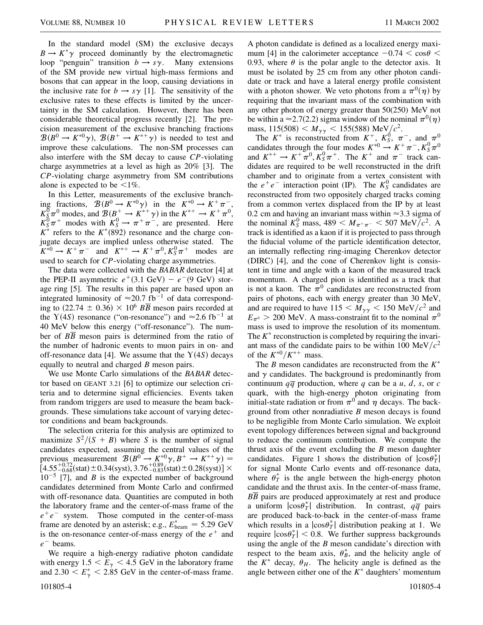In the standard model (SM) the exclusive decays  $B \to K^*\gamma$  proceed dominantly by the electromagnetic loop "penguin" transition  $b \rightarrow s\gamma$ . Many extensions of the SM provide new virtual high-mass fermions and bosons that can appear in the loop, causing deviations in the inclusive rate for  $b \rightarrow s\gamma$  [1]. The sensitivity of the exclusive rates to these effects is limited by the uncertainty in the SM calculation. However, there has been considerable theoretical progress recently [2]. The precision measurement of the exclusive branching fractions  $B(B^0 \to K^{*0}\gamma)$ ,  $B(B^+ \to K^{*+}\gamma)$  is needed to test and improve these calculations. The non-SM processes can also interfere with the SM decay to cause *CP*-violating charge asymmetries at a level as high as 20% [3]. The *CP*-violating charge asymmetry from SM contributions alone is expected to be  $\leq 1\%$ .

In this Letter, measurements of the exclusive branching fractions,  $\mathcal{B}(B^0 \to K^{*0}\gamma)$  in the  $K^{*0} \to K^+\pi^-$ ,  $K_{\rm S}^0 \pi^0$  modes, and  $\mathcal{B}(B_{\rm A}^+ \to K^{*+} \gamma)$  in the  $K^{*+} \to K^+ \pi^0$ ,  $K_S^0 \pi^+$  modes with  $K_S^0 \to \pi^+ \pi^-$ , are presented. Here  $K^*$  refers to the  $K^*(892)$  resonance and the charge conjugate decays are implied unless otherwise stated. The  $K^{*0} \to K^+ \pi^-$  and  $K^{*+} \to K^+ \pi^0, K_S^0 \pi^+$  modes are used to search for *CP*-violating charge asymmetries.

The data were collected with the *BABAR* detector [4] at the PEP-II asymmetric  $e^+(3.1 \text{ GeV}) - e^-(9 \text{ GeV})$  storage ring [5]. The results in this paper are based upon an integrated luminosity of  $\approx 20.7$  fb<sup>-1</sup> of data corresponding to  $(22.74 \pm 0.36) \times 10^6$  *BB* meson pairs recorded at the Y(4*S*) resonance ("on-resonance") and  $\approx$  2.6 fb<sup>-1</sup> at 40 MeV below this energy ("off-resonance"). The number of  $B\overline{B}$  meson pairs is determined from the ratio of the number of hadronic events to muon pairs in on- and off-resonance data [4]. We assume that the  $Y(4S)$  decays equally to neutral and charged *B* meson pairs.

We use Monte Carlo simulations of the *BABAR* detector based on GEANT 3.21 [6] to optimize our selection criteria and to determine signal efficiencies. Events taken from random triggers are used to measure the beam backgrounds. These simulations take account of varying detector conditions and beam backgrounds.

The selection criteria for this analysis are optimized to maximize  $S^2/(S + B)$  where *S* is the number of signal candidates expected, assuming the central values of the previous measurement  $\mathcal{B}(B^0 \to K^{*0}\gamma, B^+ \to K^{*+}\gamma) =$  $\left[4.55_{-0.68}^{+0.72}(\text{stat})\pm0.34(\text{syst}),3.76_{-0.83}^{+0.89}(\text{stat})\pm0.28(\text{syst})\right]\times$  $10^{-5}$  [7], and *B* is the expected number of background candidates determined from Monte Carlo and confirmed with off-resonance data. Quantities are computed in both the laboratory frame and the center-of-mass frame of the  $e^+e^-$  system. Those computed in the center-of-mass frame are denoted by an asterisk; e.g.,  $E_{\text{beam}}^* = 5.29 \text{ GeV}$ is the on-resonance center-of-mass energy of the  $e^+$  and  $e^-$  beams.

We require a high-energy radiative photon candidate with energy  $1.5 \le E_{\gamma} \le 4.5$  GeV in the laboratory frame and  $2.30 < E^*_{\gamma} < 2.85$  GeV in the center-of-mass frame.

101805-4 101805-4

A photon candidate is defined as a localized energy maximum [4] in the calorimeter acceptance  $-0.74 < \cos\theta <$ 0.93, where  $\theta$  is the polar angle to the detector axis. It must be isolated by 25 cm from any other photon candidate or track and have a lateral energy profile consistent with a photon shower. We veto photons from a  $\pi^0(\eta)$  by requiring that the invariant mass of the combination with any other photon of energy greater than 50(250) MeV not be within a  $\approx$  2.7(2.2) sigma window of the nominal  $\pi^{0}(\eta)$ mass,  $115(508) < M_{\gamma\gamma} < 155(588) \text{ MeV}/c^2$ .

The  $K^*$  is reconstructed from  $K^+$ ,  $K^0_S$ ,  $\pi^-$ , and  $\pi^0$ candidates through the four modes  $K^{*0} \rightarrow K^+\pi^-, K^0_S \pi^0$ and  $K^{*+} \to K^+\pi^0$ ,  $K_S^0\pi^+$ . The  $K^+$  and  $\pi^-$  track candidates are required to be well reconstructed in the drift chamber and to originate from a vertex consistent with the  $e^+e^-$  interaction point (IP). The  $K^0_S$  candidates are reconstructed from two oppositely charged tracks coming from a common vertex displaced from the IP by at least 0.2 cm and having an invariant mass within  $\approx$ 3.3 sigma of the nominal  $K_S^0$  mass, 489  $< M_{\pi^+\pi^-} < 507 \text{ MeV}/c^2$ . A track is identified as a kaon if it is projected to pass through the fiducial volume of the particle identification detector, an internally reflecting ring-imaging Cherenkov detector (DIRC) [4], and the cone of Cherenkov light is consistent in time and angle with a kaon of the measured track momentum. A charged pion is identified as a track that is not a kaon. The  $\pi^0$  candidates are reconstructed from pairs of photons, each with energy greater than 30 MeV, and are required to have  $115 < M_{\gamma\gamma} < 150 \text{ MeV}/c^2$  and  $E_{\pi^0} > 200$  MeV. A mass-constraint fit to the nominal  $\pi^0$ mass is used to improve the resolution of its momentum. The  $K^*$  reconstruction is completed by requiring the invariant mass of the candidate pairs to be within 100 MeV $/c<sup>2</sup>$ of the  $K^{*0}/K^{*+}$  mass.

The *B* meson candidates are reconstructed from the *K* and  $\gamma$  candidates. The background is predominantly from continuum  $q\overline{q}$  production, where *q* can be a *u*, *d*, *s*, or *c* quark, with the high-energy photon originating from initial-state radiation or from  $\pi^0$  and  $\eta$  decays. The background from other nonradiative *B* meson decays is found to be negligible from Monte Carlo simulation. We exploit event topology differences between signal and background to reduce the continuum contribution. We compute the thrust axis of the event excluding the *B* meson daughter candidates. Figure 1 shows the distribution of  $|\cos \theta_T^*|$ for signal Monte Carlo events and off-resonance data, where  $\theta_T^*$  is the angle between the high-energy photon candidate and the thrust axis. In the center-of-mass frame, *BB* pairs are produced approximately at rest and produce a uniform  $|\cos \theta_T^*|$  distribution. In contrast,  $q\overline{q}$  pairs are produced back-to-back in the center-of-mass frame which results in a  $|\cos \theta^*_{T}|$  distribution peaking at 1. We require  $|\cos \theta_T^*|$  < 0.8. We further suppress backgrounds using the angle of the *B* meson candidate's direction with respect to the beam axis,  $\theta_B^*$ , and the helicity angle of the  $K^*$  decay,  $\theta_H$ . The helicity angle is defined as the angle between either one of the  $K^*$  daughters' momentum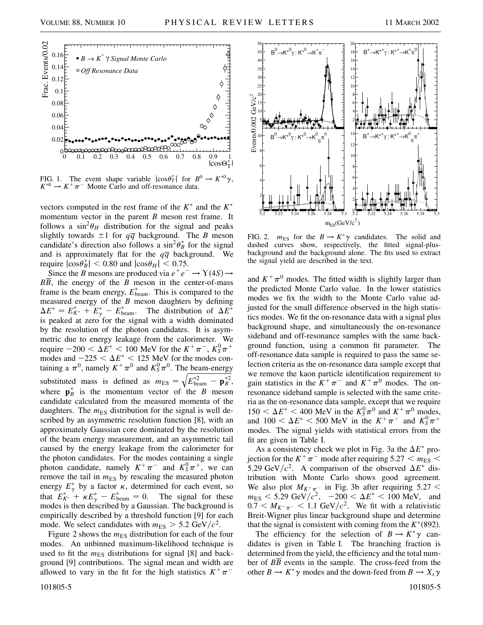

FIG. 1. The event shape variable  $|\cos \theta_T^*|$  for  $B^0 \to K^{*0} \gamma$ ,  $K^{*0} \rightarrow K^+\pi^-$  Monte Carlo and off-resonance data.

vectors computed in the rest frame of the  $K^*$  and the  $K^*$ momentum vector in the parent *B* meson rest frame. It follows a  $\sin^2\theta_H$  distribution for the signal and peaks slightly towards  $\pm 1$  for  $q\overline{q}$  background. The *B* meson candidate's direction also follows a  $\sin^2 \theta_B^*$  for the signal and is approximately flat for the  $q\overline{q}$  background. We require  $|\cos \theta_B^*|$  < 0.80 and  $|\cos \theta_H|$  < 0.75.

Since the *B* mesons are produced via  $e^+e^- \rightarrow Y(4S) \rightarrow$ *BB*, the energy of the *B* meson in the center-of-mass frame is the beam energy,  $E_{\text{beam}}^*$ . This is compared to the measured energy of the *B* meson daughters by defining  $\Delta E^* = E_{K^*}^* + E_{\gamma}^* - E_{\text{beam}}^*$ . The distribution of  $\Delta E^*$ is peaked at zero for the signal with a width dominated by the resolution of the photon candidates. It is asymmetric due to energy leakage from the calorimeter. We require  $-200 < \Delta E^* < 100$  MeV for the  $K^+\pi^-$ ,  $K^0_S\pi^+$ modes and  $-225 < \Delta E^* < 125$  MeV for the modes containing a  $\pi^0$ , namely  $K^+\pi^0$  and  $K^0_S\pi^0$ . The beam-energy substituted mass is defined as  $m_{ES} = \sqrt{E_{beam}^{*2} - \mathbf{p}_{B}^{*2}}$ , where  $\mathbf{p}_{B}^{*}$  is the momentum vector of the *B* meson candidate calculated from the measured momenta of the daughters. The  $m_{ES}$  distribution for the signal is well described by an asymmetric resolution function [8], with an approximately Gaussian core dominated by the resolution of the beam energy measurement, and an asymmetric tail caused by the energy leakage from the calorimeter for the photon candidates. For the modes containing a single photon candidate, namely  $K^+\pi^-$  and  $K^0_S\pi^+$ , we can remove the tail in  $m_{ES}$  by rescaling the measured photon energy  $E^*_{\gamma}$  by a factor  $\kappa$ , determined for each event, so that  $E_{K^*}^{*+} + \kappa E_{\gamma}^* - E_{\text{beam}}^* = 0$ . The signal for these modes is then described by a Gaussian. The background is empirically described by a threshold function [9] for each mode. We select candidates with  $m_{ES} > 5.2 \text{ GeV}/c^2$ .

Figure 2 shows the  $m_{ES}$  distribution for each of the four modes. An unbinned maximum-likelihood technique is used to fit the  $m_{ES}$  distributions for signal [8] and background [9] contributions. The signal mean and width are allowed to vary in the fit for the high statistics  $K^+\pi^-$ 



FIG. 2.  $m_{ES}$  for the  $B \to K^*\gamma$  candidates. The solid and dashed curves show, respectively, the fitted signal-plusbackground and the background alone. The fits used to extract the signal yield are described in the text.

and  $K^+\pi^0$  modes. The fitted width is slightly larger than the predicted Monte Carlo value. In the lower statistics modes we fix the width to the Monte Carlo value adjusted for the small difference observed in the high statistics modes. We fit the on-resonance data with a signal plus background shape, and simultaneously the on-resonance sideband and off-resonance samples with the same background function, using a common fit parameter. The off-resonance data sample is required to pass the same selection criteria as the on-resonance data sample except that we remove the kaon particle identification requirement to gain statistics in the  $K^+\pi^-$  and  $K^+\pi^0$  modes. The onresonance sideband sample is selected with the same criteria as the on-resonance data sample, except that we require  $150 < \Delta E^* < 400$  MeV in the  $K_S^0 \pi^0$  and  $K^+ \pi^0$  modes, and  $100 < \Delta E^* < 500$  MeV in the  $K^+\pi^-$  and  $K^0_S\pi^+$ modes. The signal yields with statistical errors from the fit are given in Table I.

As a consistency check we plot in Fig. 3a the  $\Delta E^*$  projection for the  $K^+\pi^-$  mode after requiring 5.27  $\lt m_{ES}$   $\lt$ 5.29 GeV/ $c^2$ . A comparison of the observed  $\Delta E^*$  distribution with Monte Carlo shows good agreement. We also plot  $M_{K^+\pi^-}$  in Fig. 3b after requiring 5.27  $<$  $m_{ES}$  < 5.29 GeV/ $c^2$ ,  $-200 < \Delta E^*$  < 100 MeV, and  $0.7 < M_{K^+\pi^-} < 1.1$  GeV/ $c^2$ . We fit with a relativistic Breit-Wigner plus linear background shape and determine that the signal is consistent with coming from the  $K^*(892)$ .

The efficiency for the selection of  $B \to K^* \gamma$  candidates is given in Table I. The branching fraction is determined from the yield, the efficiency and the total number of *BB* events in the sample. The cross-feed from the other  $B \to K^* \gamma$  modes and the down-feed from  $B \to X_s \gamma$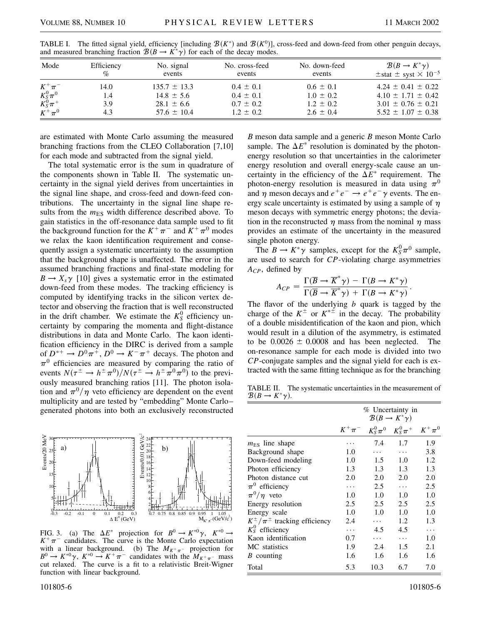.

| Mode                            | Efficiency<br>$\%$ | No. signal<br>events | No. cross-feed<br>events | No. down-feed<br>events | $\mathcal{B}(B \to K^* \gamma)$<br>$\pm$ stat $\pm$ syst $\times$ 10 <sup>-5</sup> |
|---------------------------------|--------------------|----------------------|--------------------------|-------------------------|------------------------------------------------------------------------------------|
| $K^+\pi^-$                      | 14.0               | $135.7 \pm 13.3$     | $0.4 \pm 0.1$            | $0.6 \pm 0.1$           | $4.24 \pm 0.41 \pm 0.22$                                                           |
| $\frac{K_S^0\pi^0}{K_S^0\pi^+}$ | 1.4                | $14.8 \pm 5.6$       | $0.4 \pm 0.1$            | $1.0 \pm 0.2$           | $4.10 \pm 1.71 \pm 0.42$                                                           |
|                                 | 3.9                | $28.1 \pm 6.6$       | $0.7 \pm 0.2$            | $1.2 \pm 0.2$           | $3.01 \pm 0.76 \pm 0.21$                                                           |
| $K^+\pi^0$                      | 4.3                | $57.6 \pm 10.4$      | $1.2 \pm 0.2$            | $2.6 \pm 0.4$           | $5.52 \pm 1.07 \pm 0.38$                                                           |

TABLE I. The fitted signal yield, efficiency [including  $\mathcal{B}(K^*)$  and  $\mathcal{B}(K^0)$ ], cross-feed and down-feed from other penguin decays, and measured branching fraction  $\mathcal{B}(B \to K^* \gamma)$  for each of the decay modes.

are estimated with Monte Carlo assuming the measured branching fractions from the CLEO Collaboration [7,10] for each mode and subtracted from the signal yield.

The total systematic error is the sum in quadrature of the components shown in Table II. The systematic uncertainty in the signal yield derives from uncertainties in the signal line shape, and cross-feed and down-feed contributions. The uncertainty in the signal line shape results from the  $m_{ES}$  width difference described above. To gain statistics in the off-resonance data sample used to fit the background function for the  $K^+\pi^-$  and  $K^+\pi^0$  modes we relax the kaon identification requirement and consequently assign a systematic uncertainty to the assumption that the background shape is unaffected. The error in the assumed branching fractions and final-state modeling for  $B \to X_s \gamma$  [10] gives a systematic error in the estimated down-feed from these modes. The tracking efficiency is computed by identifying tracks in the silicon vertex detector and observing the fraction that is well reconstructed in the drift chamber. We estimate the  $K_S^0$  efficiency uncertainty by comparing the momenta and flight-distance distributions in data and Monte Carlo. The kaon identification efficiency in the DIRC is derived from a sample of  $D^{*+} \to D^0 \pi^+, D^0 \to K^- \pi^+$  decays. The photon and  $\pi^0$  efficiencies are measured by comparing the ratio of events  $N(\tau^{\pm} \to h^{\pm} \pi^0)/N(\tau^{\pm} \to h^{\pm} \pi^0 \pi^0)$  to the previously measured branching ratios [11]. The photon isolation and  $\pi^0/\eta$  veto efficiency are dependent on the event multiplicity and are tested by "embedding" Monte Carlo– generated photons into both an exclusively reconstructed



FIG. 3. (a) The  $\Delta E^*$  projection for  $B^0 \to K^{*0} \gamma$ ,  $K^{*0} \to$  $K^+\pi^-$  candidates. The curve is the Monte Carlo expectation with a linear background. (b) The  $M_{K^+\pi^-}$  projection for  $B^0 \to K^{*0} \gamma$ ,  $K^{*0} \to K^+ \pi^-$  candidates with the  $M_{K^+ \pi^-}$  mass cut relaxed. The curve is a fit to a relativistic Breit-Wigner function with linear background.

*B* meson data sample and a generic *B* meson Monte Carlo sample. The  $\Delta E^*$  resolution is dominated by the photonenergy resolution so that uncertainties in the calorimeter energy resolution and overall energy-scale cause an uncertainty in the efficiency of the  $\Delta E^*$  requirement. The photon-energy resolution is measured in data using  $\pi^0$ and  $\eta$  meson decays and  $e^+e^- \rightarrow e^+e^- \gamma$  events. The energy scale uncertainty is estimated by using a sample of  $\eta$ meson decays with symmetric energy photons; the deviation in the reconstructed  $\eta$  mass from the nominal  $\eta$  mass provides an estimate of the uncertainty in the measured single photon energy.

The  $B \to K^* \gamma$  samples, except for the  $K_S^0 \pi^0$  sample, are used to search for *CP*-violating charge asymmetries *ACP*, defined by

$$
A_{CP} = \frac{\Gamma(\overline{B} \to \overline{K}^* \gamma) - \Gamma(B \to K^* \gamma)}{\Gamma(\overline{B} \to \overline{K}^* \gamma) + \Gamma(B \to K^* \gamma)}
$$

The flavor of the underlying *b* quark is tagged by the charge of the  $K^{\pm}$  or  $K^{*\pm}$  in the decay. The probability of a double misidentification of the kaon and pion, which would result in a dilution of the asymmetry, is estimated to be  $0.0026 \pm 0.0008$  and has been neglected. The on-resonance sample for each mode is divided into two *CP*-conjugate samples and the signal yield for each is extracted with the same fitting technique as for the branching

TABLE II. The systematic uncertainties in the measurement of  $\mathcal{B}(B \to K^* \gamma)$ .

|                                         | % Uncertainty in<br>$\mathcal{B}(B \to K^* \gamma)$ |               |                                              |     |
|-----------------------------------------|-----------------------------------------------------|---------------|----------------------------------------------|-----|
|                                         |                                                     |               | $K^+\pi^ K^0_S\pi^0$ $K^0_S\pi^+$ $K^+\pi^0$ |     |
| $m_{ES}$ line shape                     |                                                     | 7.4           | 1.7                                          | 1.9 |
| Background shape                        | 1.0                                                 |               | .                                            | 3.8 |
| Down-feed modeling                      | 1.0                                                 | 1.5           | 1.0                                          | 1.2 |
| Photon efficiency                       | 1.3                                                 | 1.3           | 1.3                                          | 1.3 |
| Photon distance cut                     | 2.0                                                 | 2.0           | 2.0                                          | 2.0 |
| $\pi^0$ efficiency                      | .                                                   | $2.5^{\circ}$ | $\cdots$                                     | 2.5 |
| $\pi^0/\eta$ veto                       | 1.0                                                 | 1.0           | 1.0                                          | 1.0 |
| Energy resolution                       | 2.5                                                 | 2.5           | 2.5                                          | 2.5 |
| Energy scale                            | 1.0                                                 | 1.0           | 1.0                                          | 1.0 |
| $K^{\pm}/\pi^{\pm}$ tracking efficiency | 2.4                                                 | $\cdots$      | 1.2.                                         | 1.3 |
| $K_S^0$ efficiency                      | .                                                   | 4.5           | 4.5                                          | .   |
| Kaon identification                     | 0.7                                                 | .             | .                                            | 1.0 |
| MC statistics                           | 1.9                                                 | 2.4           | 1.5                                          | 2.1 |
| B counting                              | 1.6                                                 | 1.6           | 1.6                                          | 1.6 |
| Total                                   | 5.3                                                 | 10.3          | 6.7                                          | 7.0 |